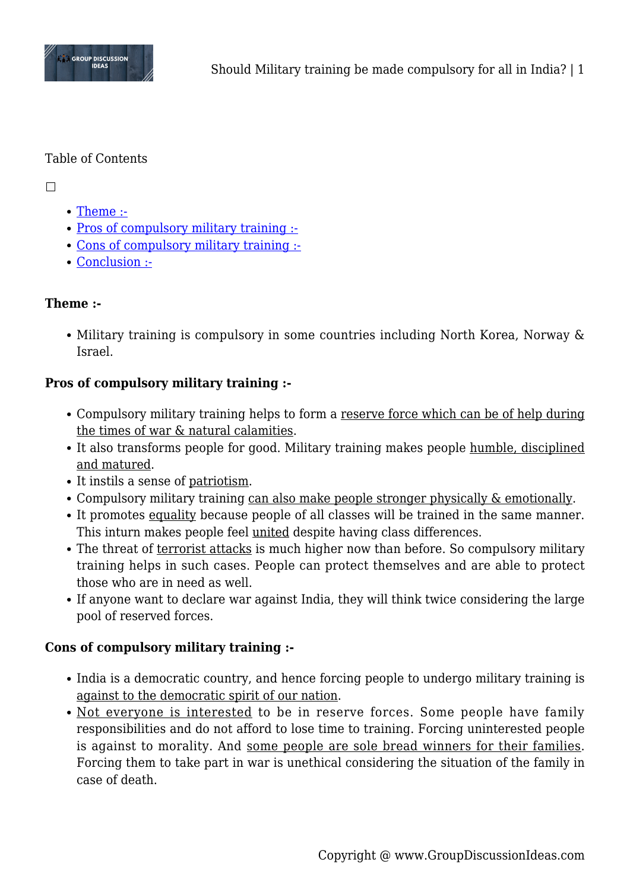

#### Table of Contents

 $\Box$ 

- [Theme :-](#page--1-0)
- [Pros of compulsory military training :-](#page--1-0)
- [Cons of compulsory military training :-](#page--1-0)
- [Conclusion :-](#page--1-0)

### **Theme :-**

• Military training is compulsory in some countries including North Korea, Norway & Israel.

# **Pros of compulsory military training :-**

- Compulsory military training helps to form a reserve force which can be of help during the times of war & natural calamities.
- It also transforms people for good. Military training makes people humble, disciplined and matured.
- It instils a sense of patriotism.
- Compulsory military training can also make people stronger physically & emotionally.
- It promotes equality because people of all classes will be trained in the same manner. This inturn makes people feel united despite having class differences.
- The threat of terrorist attacks is much higher now than before. So compulsory military training helps in such cases. People can protect themselves and are able to protect those who are in need as well.
- If anyone want to declare war against India, they will think twice considering the large pool of reserved forces.

# **Cons of compulsory military training :-**

- India is a democratic country, and hence forcing people to undergo military training is against to the democratic spirit of our nation.
- Not everyone is interested to be in reserve forces. Some people have family responsibilities and do not afford to lose time to training. Forcing uninterested people is against to morality. And some people are sole bread winners for their families. Forcing them to take part in war is unethical considering the situation of the family in case of death.